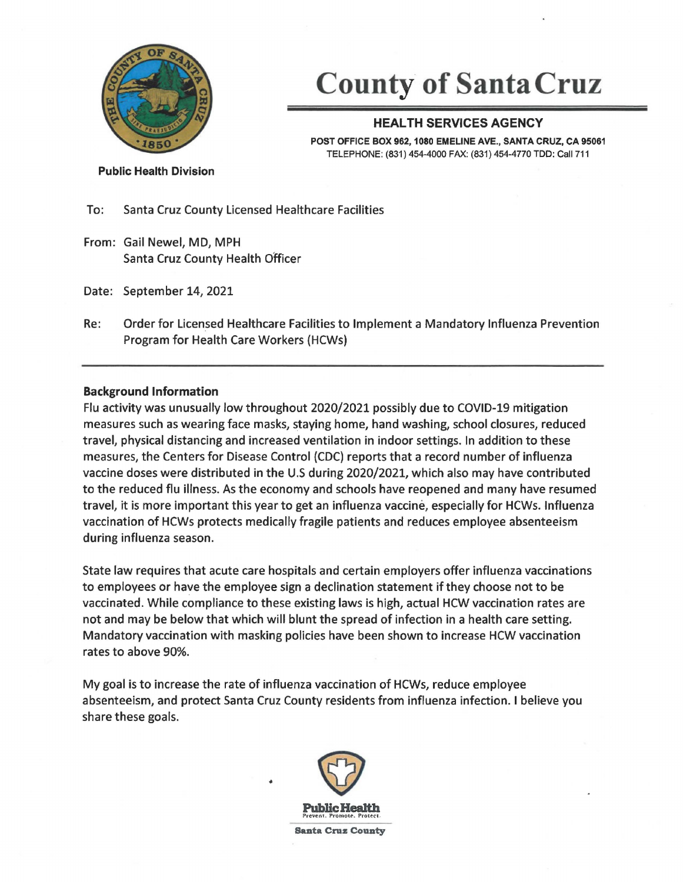

# **County of Santa Cruz**

# **HEAL TH SERVICES AGENCY**

**POST OFFICE BOX 962, 1080 EMELINE AVE., SANTA CRUZ, CA 95061**  TELEPHONE: (831) 454-4000 FAX: (831) 454-4770 TDD: Call 711

**Public Health Division** 

To: Santa Cruz County Licensed Healthcare Facilities

From: Gail Newel, MD, MPH Santa Cruz County Health Officer

Date: September 14, 2021

Re: Order for Licensed Healthcare Facilities to Implement a Mandatory Influenza Prevention Program for Health Care Workers (HCWs)

## **Background Information**

Flu activity was unusually low throughout 2020/2021 possibly due to COVID-19 mitigation measures such as wearing face masks, staying home, hand washing, school closures, reduced travel, physical distancing and increased ventilation in indoor settings. In addition to these measures, the Centers for Disease Control (CDC) reports that a record number of influenza vaccine doses were distributed in the U.S during 2020/2021, which also may have contributed to the reduced flu illness. As the economy and schools have reopened and many have resumed travel, it is more important this year to get an influenza vaccine, especially for HCWs. Influenza vaccination of HCWs protects medically fragile patients and reduces employee absenteeism during influenza season.

State law requires that acute care hospitals and certain employers offer influenza vaccinations to employees or have the employee sign a declination statement if they choose not to be vaccinated. While compliance to these existing laws is high, actual HCW vaccination rates are not and may be below that which will blunt the spread of infection in a health care setting. Mandatory vaccination with masking policies have been shown to increase HCW vaccination rates to above 90%.

My goal is to increase the rate of influenza vaccination of HCWs, reduce employee absenteeism, and protect Santa Cruz County residents from influenza infection. I believe you share these goals.



•